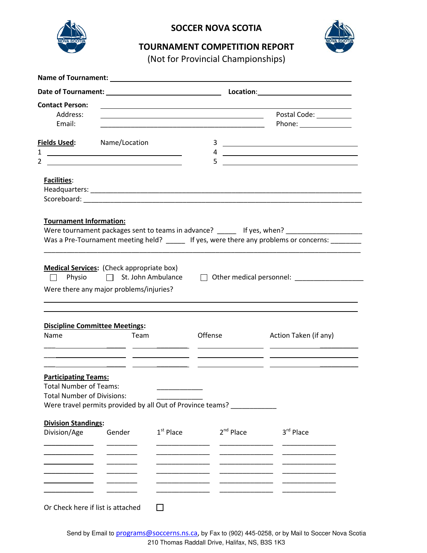

## **SOCCER NOVA SCOTIA**



## **TOURNAMENT COMPETITION REPORT**

(Not for Provincial Championships)

| <b>Contact Person:</b>                                       |                                                                                  |                                                 | <u> 1989 - Johann Barbara, marka a shekara tsa 1989 - An tsa 1989 - An tsa 1989 - An tsa 1989 - An tsa 1989 - An</u> |                                                                                         |
|--------------------------------------------------------------|----------------------------------------------------------------------------------|-------------------------------------------------|----------------------------------------------------------------------------------------------------------------------|-----------------------------------------------------------------------------------------|
| Address:                                                     |                                                                                  |                                                 | <u> 1989 - Johann Barn, fransk politik (d. 1989)</u>                                                                 | Postal Code: __________                                                                 |
| Email:                                                       |                                                                                  |                                                 |                                                                                                                      | Phone: _______________                                                                  |
| <u>Fields Used:</u><br>1                                     | Name/Location<br><u> 1989 - Johann Barn, fransk politik amerikansk politik (</u> |                                                 |                                                                                                                      |                                                                                         |
| 2                                                            | <u> 1989 - Andrea Stadt Britain, amerikansk politiker (</u>                      |                                                 | 5                                                                                                                    | 4 $\overline{\phantom{a}}$<br><u> 1989 - Johann John Stone, Amerikaansk politiker (</u> |
| Facilities:                                                  |                                                                                  |                                                 |                                                                                                                      |                                                                                         |
|                                                              |                                                                                  |                                                 |                                                                                                                      |                                                                                         |
|                                                              |                                                                                  |                                                 |                                                                                                                      |                                                                                         |
| $\mathbf{L}$                                                 | <b>Medical Services:</b> (Check appropriate box)                                 | Physio □ St. John Ambulance                     |                                                                                                                      |                                                                                         |
|                                                              | Were there any major problems/injuries?                                          |                                                 |                                                                                                                      |                                                                                         |
| Name                                                         | <b>Discipline Committee Meetings:</b><br>Team                                    |                                                 | Offense                                                                                                              | Action Taken (if any)                                                                   |
|                                                              |                                                                                  | <u> 1989 - Johann John Stone, mars et al. (</u> |                                                                                                                      |                                                                                         |
| <b>Participating Teams:</b><br><b>Total Number of Teams:</b> |                                                                                  |                                                 |                                                                                                                      |                                                                                         |
| <b>Total Number of Divisions:</b>                            |                                                                                  |                                                 |                                                                                                                      |                                                                                         |
|                                                              |                                                                                  |                                                 | Were travel permits provided by all Out of Province teams?                                                           |                                                                                         |
| <b>Division Standings:</b>                                   |                                                                                  |                                                 |                                                                                                                      |                                                                                         |
| Division/Age                                                 | Gender                                                                           | $1st$ Place                                     | $2nd$ Place                                                                                                          | 3rd Place                                                                               |
|                                                              |                                                                                  |                                                 |                                                                                                                      |                                                                                         |
|                                                              |                                                                                  |                                                 |                                                                                                                      |                                                                                         |
|                                                              |                                                                                  |                                                 |                                                                                                                      |                                                                                         |
|                                                              |                                                                                  |                                                 |                                                                                                                      |                                                                                         |